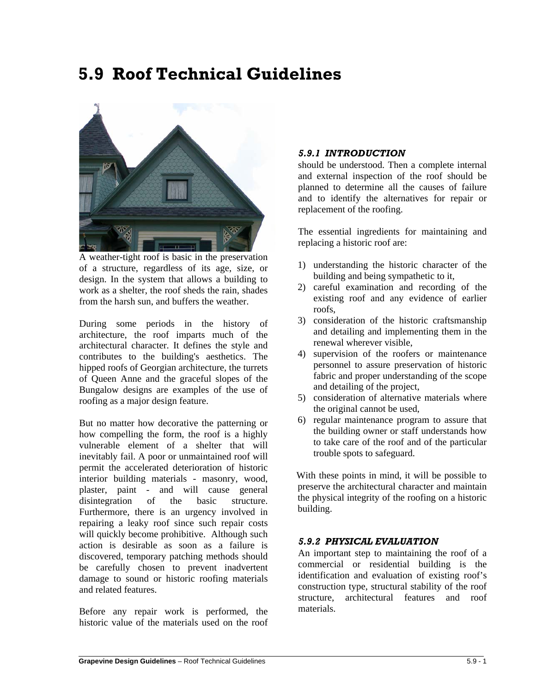# **5.9 Roof Technical Guidelines**



A weather-tight roof is basic in the preservation of a structure, regardless of its age, size, or design. In the system that allows a building to work as a shelter, the roof sheds the rain, shades from the harsh sun, and buffers the weather.

During some periods in the history of architecture, the roof imparts much of the architectural character. It defines the style and contributes to the building's aesthetics. The hipped roofs of Georgian architecture, the turrets of Queen Anne and the graceful slopes of the Bungalow designs are examples of the use of roofing as a major design feature.

But no matter how decorative the patterning or how compelling the form, the roof is a highly vulnerable element of a shelter that will inevitably fail. A poor or unmaintained roof will permit the accelerated deterioration of historic interior building materials - masonry, wood, plaster, paint - and will cause general disintegration of the basic structure. Furthermore, there is an urgency involved in repairing a leaky roof since such repair costs will quickly become prohibitive. Although such action is desirable as soon as a failure is discovered, temporary patching methods should be carefully chosen to prevent inadvertent damage to sound or historic roofing materials and related features.

Before any repair work is performed, the historic value of the materials used on the roof

## *5.9.1 INTRODUCTION*

should be understood. Then a complete internal and external inspection of the roof should be planned to determine all the causes of failure and to identify the alternatives for repair or replacement of the roofing.

The essential ingredients for maintaining and replacing a historic roof are:

- 1) understanding the historic character of the building and being sympathetic to it,
- 2) careful examination and recording of the existing roof and any evidence of earlier roofs,
- 3) consideration of the historic craftsmanship and detailing and implementing them in the renewal wherever visible,
- 4) supervision of the roofers or maintenance personnel to assure preservation of historic fabric and proper understanding of the scope and detailing of the project,
- 5) consideration of alternative materials where the original cannot be used,
- 6) regular maintenance program to assure that the building owner or staff understands how to take care of the roof and of the particular trouble spots to safeguard.

With these points in mind, it will be possible to preserve the architectural character and maintain the physical integrity of the roofing on a historic building.

## *5.9.2 PHYSICAL EVALUATION*

An important step to maintaining the roof of a commercial or residential building is the identification and evaluation of existing roof's construction type, structural stability of the roof structure, architectural features and roof materials.

 $\overline{a}$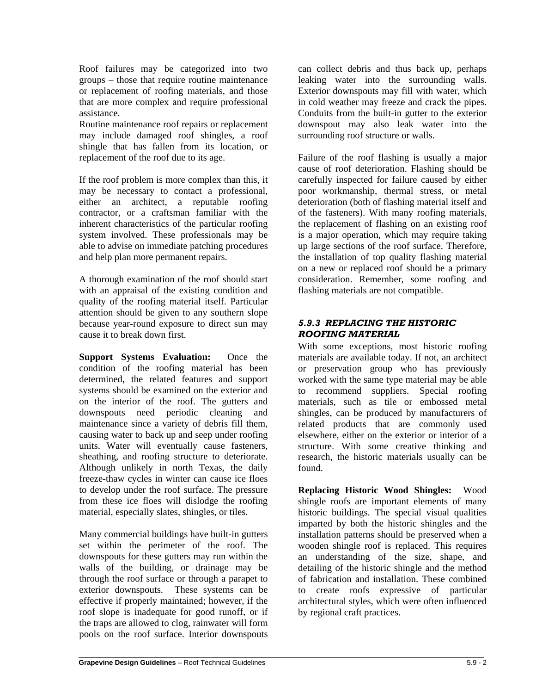Roof failures may be categorized into two groups – those that require routine maintenance or replacement of roofing materials, and those that are more complex and require professional assistance.

Routine maintenance roof repairs or replacement may include damaged roof shingles, a roof shingle that has fallen from its location, or replacement of the roof due to its age.

If the roof problem is more complex than this, it may be necessary to contact a professional, either an architect, a reputable roofing contractor, or a craftsman familiar with the inherent characteristics of the particular roofing system involved. These professionals may be able to advise on immediate patching procedures and help plan more permanent repairs.

A thorough examination of the roof should start with an appraisal of the existing condition and quality of the roofing material itself. Particular attention should be given to any southern slope because year-round exposure to direct sun may cause it to break down first.

**Support Systems Evaluation:** Once the condition of the roofing material has been determined, the related features and support systems should be examined on the exterior and on the interior of the roof. The gutters and downspouts need periodic cleaning and maintenance since a variety of debris fill them, causing water to back up and seep under roofing units. Water will eventually cause fasteners, sheathing, and roofing structure to deteriorate. Although unlikely in north Texas, the daily freeze-thaw cycles in winter can cause ice floes to develop under the roof surface. The pressure from these ice floes will dislodge the roofing material, especially slates, shingles, or tiles.

Many commercial buildings have built-in gutters set within the perimeter of the roof. The downspouts for these gutters may run within the walls of the building, or drainage may be through the roof surface or through a parapet to exterior downspouts. These systems can be effective if properly maintained; however, if the roof slope is inadequate for good runoff, or if the traps are allowed to clog, rainwater will form pools on the roof surface. Interior downspouts can collect debris and thus back up, perhaps leaking water into the surrounding walls. Exterior downspouts may fill with water, which in cold weather may freeze and crack the pipes. Conduits from the built-in gutter to the exterior downspout may also leak water into the surrounding roof structure or walls.

Failure of the roof flashing is usually a major cause of roof deterioration. Flashing should be carefully inspected for failure caused by either poor workmanship, thermal stress, or metal deterioration (both of flashing material itself and of the fasteners). With many roofing materials, the replacement of flashing on an existing roof is a major operation, which may require taking up large sections of the roof surface. Therefore, the installation of top quality flashing material on a new or replaced roof should be a primary consideration. Remember, some roofing and flashing materials are not compatible.

# *5.9.3 REPLACING THE HISTORIC ROOFING MATERIAL*

With some exceptions, most historic roofing materials are available today. If not, an architect or preservation group who has previously worked with the same type material may be able to recommend suppliers. Special roofing materials, such as tile or embossed metal shingles, can be produced by manufacturers of related products that are commonly used elsewhere, either on the exterior or interior of a structure. With some creative thinking and research, the historic materials usually can be found.

**Replacing Historic Wood Shingles:** Wood shingle roofs are important elements of many historic buildings. The special visual qualities imparted by both the historic shingles and the installation patterns should be preserved when a wooden shingle roof is replaced. This requires an understanding of the size, shape, and detailing of the historic shingle and the method of fabrication and installation. These combined to create roofs expressive of particular architectural styles, which were often influenced by regional craft practices.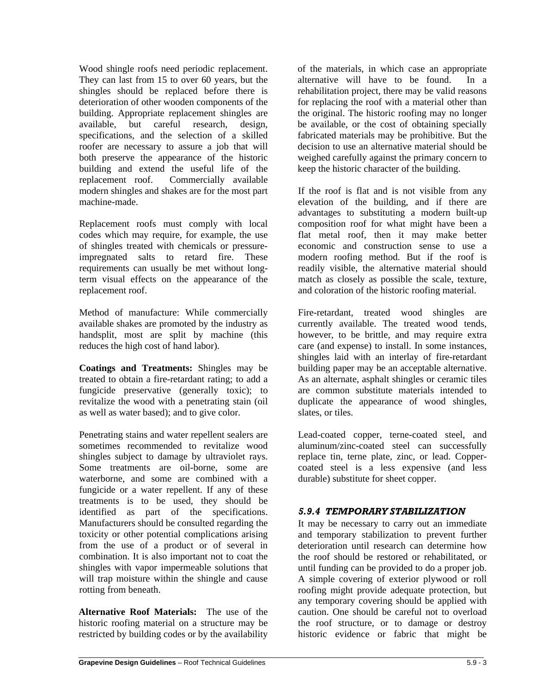Wood shingle roofs need periodic replacement. They can last from 15 to over 60 years, but the shingles should be replaced before there is deterioration of other wooden components of the building. Appropriate replacement shingles are available, but careful research, design, specifications, and the selection of a skilled roofer are necessary to assure a job that will both preserve the appearance of the historic building and extend the useful life of the replacement roof. Commercially available modern shingles and shakes are for the most part machine-made.

Replacement roofs must comply with local codes which may require, for example, the use of shingles treated with chemicals or pressureimpregnated salts to retard fire. These requirements can usually be met without longterm visual effects on the appearance of the replacement roof.

Method of manufacture: While commercially available shakes are promoted by the industry as handsplit, most are split by machine (this reduces the high cost of hand labor).

**Coatings and Treatments:** Shingles may be treated to obtain a fire-retardant rating; to add a fungicide preservative (generally toxic); to revitalize the wood with a penetrating stain (oil as well as water based); and to give color.

Penetrating stains and water repellent sealers are sometimes recommended to revitalize wood shingles subject to damage by ultraviolet rays. Some treatments are oil-borne, some are waterborne, and some are combined with a fungicide or a water repellent. If any of these treatments is to be used, they should be identified as part of the specifications. Manufacturers should be consulted regarding the toxicity or other potential complications arising from the use of a product or of several in combination. It is also important not to coat the shingles with vapor impermeable solutions that will trap moisture within the shingle and cause rotting from beneath.

**Alternative Roof Materials:** The use of the historic roofing material on a structure may be restricted by building codes or by the availability of the materials, in which case an appropriate alternative will have to be found. In a rehabilitation project, there may be valid reasons for replacing the roof with a material other than the original. The historic roofing may no longer be available, or the cost of obtaining specially fabricated materials may be prohibitive. But the decision to use an alternative material should be weighed carefully against the primary concern to keep the historic character of the building.

If the roof is flat and is not visible from any elevation of the building, and if there are advantages to substituting a modern built-up composition roof for what might have been a flat metal roof, then it may make better economic and construction sense to use a modern roofing method. But if the roof is readily visible, the alternative material should match as closely as possible the scale, texture, and coloration of the historic roofing material.

Fire-retardant, treated wood shingles are currently available. The treated wood tends, however, to be brittle, and may require extra care (and expense) to install. In some instances, shingles laid with an interlay of fire-retardant building paper may be an acceptable alternative. As an alternate, asphalt shingles or ceramic tiles are common substitute materials intended to duplicate the appearance of wood shingles, slates, or tiles.

Lead-coated copper, terne-coated steel, and aluminum/zinc-coated steel can successfully replace tin, terne plate, zinc, or lead. Coppercoated steel is a less expensive (and less durable) substitute for sheet copper.

# *5.9.4 TEMPORARY STABILIZATION*

It may be necessary to carry out an immediate and temporary stabilization to prevent further deterioration until research can determine how the roof should be restored or rehabilitated, or until funding can be provided to do a proper job. A simple covering of exterior plywood or roll roofing might provide adequate protection, but any temporary covering should be applied with caution. One should be careful not to overload the roof structure, or to damage or destroy historic evidence or fabric that might be